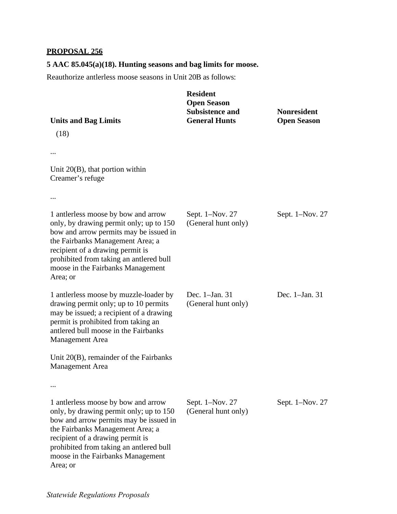## **PROPOSAL 256**

## **5 AAC 85.045(a)(18). Hunting seasons and bag limits for moose.**

Reauthorize antlerless moose seasons in Unit 20B as follows:

| <b>Units and Bag Limits</b>                                                                                                                                                                                                                                                                  | <b>Resident</b><br><b>Open Season</b><br><b>Subsistence and</b><br><b>General Hunts</b> | <b>Nonresident</b><br><b>Open Season</b> |
|----------------------------------------------------------------------------------------------------------------------------------------------------------------------------------------------------------------------------------------------------------------------------------------------|-----------------------------------------------------------------------------------------|------------------------------------------|
| (18)                                                                                                                                                                                                                                                                                         |                                                                                         |                                          |
|                                                                                                                                                                                                                                                                                              |                                                                                         |                                          |
| Unit $20(B)$ , that portion within<br>Creamer's refuge                                                                                                                                                                                                                                       |                                                                                         |                                          |
|                                                                                                                                                                                                                                                                                              |                                                                                         |                                          |
| 1 antierless moose by bow and arrow<br>only, by drawing permit only; up to 150<br>bow and arrow permits may be issued in<br>the Fairbanks Management Area; a<br>recipient of a drawing permit is<br>prohibited from taking an antlered bull<br>moose in the Fairbanks Management<br>Area; or | Sept. 1-Nov. 27<br>(General hunt only)                                                  | Sept. 1-Nov. 27                          |
| 1 antierless moose by muzzle-loader by<br>drawing permit only; up to 10 permits<br>may be issued; a recipient of a drawing<br>permit is prohibited from taking an<br>antlered bull moose in the Fairbanks<br><b>Management Area</b>                                                          | Dec. 1–Jan. 31<br>(General hunt only)                                                   | Dec. 1-Jan. 31                           |
| Unit 20(B), remainder of the Fairbanks<br><b>Management Area</b>                                                                                                                                                                                                                             |                                                                                         |                                          |
|                                                                                                                                                                                                                                                                                              |                                                                                         |                                          |
| 1 antierless moose by bow and arrow<br>only, by drawing permit only; up to 150<br>bow and arrow permits may be issued in<br>the Fairbanks Management Area; a<br>recipient of a drawing permit is<br>prohibited from taking an antlered bull<br>moose in the Fairbanks Management<br>Area; or | Sept. 1-Nov. 27<br>(General hunt only)                                                  | Sept. 1–Nov. 27                          |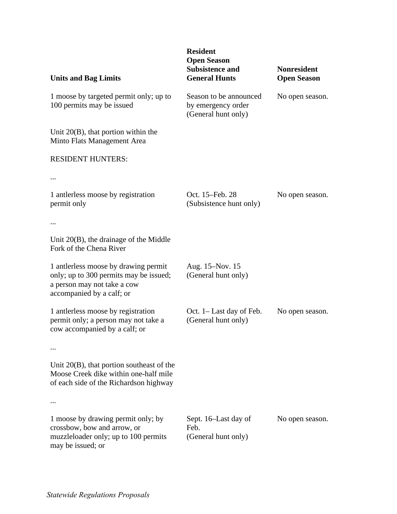| <b>Units and Bag Limits</b>                                                                                                               | <b>Resident</b><br><b>Open Season</b><br><b>Subsistence and</b><br><b>General Hunts</b> | <b>Nonresident</b><br><b>Open Season</b> |
|-------------------------------------------------------------------------------------------------------------------------------------------|-----------------------------------------------------------------------------------------|------------------------------------------|
| 1 moose by targeted permit only; up to<br>100 permits may be issued                                                                       | Season to be announced<br>by emergency order<br>(General hunt only)                     | No open season.                          |
| Unit $20(B)$ , that portion within the<br>Minto Flats Management Area                                                                     |                                                                                         |                                          |
| <b>RESIDENT HUNTERS:</b>                                                                                                                  |                                                                                         |                                          |
|                                                                                                                                           |                                                                                         |                                          |
| 1 antlerless moose by registration<br>permit only                                                                                         | Oct. 15-Feb. 28<br>(Subsistence hunt only)                                              | No open season.                          |
| $\cdots$                                                                                                                                  |                                                                                         |                                          |
| Unit $20(B)$ , the drainage of the Middle<br>Fork of the Chena River                                                                      |                                                                                         |                                          |
| 1 anterless moose by drawing permit<br>only; up to 300 permits may be issued;<br>a person may not take a cow<br>accompanied by a calf; or | Aug. 15–Nov. 15<br>(General hunt only)                                                  |                                          |
| 1 antlerless moose by registration<br>permit only; a person may not take a<br>cow accompanied by a calf; or                               | Oct. 1– Last day of Feb.<br>(General hunt only)                                         | No open season.                          |
|                                                                                                                                           |                                                                                         |                                          |
| Unit $20(B)$ , that portion southeast of the<br>Moose Creek dike within one-half mile<br>of each side of the Richardson highway           |                                                                                         |                                          |
|                                                                                                                                           |                                                                                         |                                          |
| 1 moose by drawing permit only; by<br>crossbow, bow and arrow, or<br>muzzleloader only; up to 100 permits<br>may be issued; or            | Sept. 16–Last day of<br>Feb.<br>(General hunt only)                                     | No open season.                          |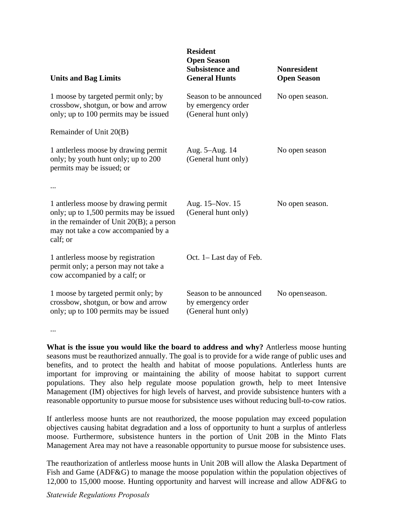| <b>Units and Bag Limits</b>                                                                                                                                                      | <b>Resident</b><br><b>Open Season</b><br><b>Subsistence and</b><br><b>General Hunts</b> | <b>Nonresident</b><br><b>Open Season</b> |
|----------------------------------------------------------------------------------------------------------------------------------------------------------------------------------|-----------------------------------------------------------------------------------------|------------------------------------------|
| 1 moose by targeted permit only; by<br>crossbow, shotgun, or bow and arrow<br>only; up to 100 permits may be issued                                                              | Season to be announced<br>by emergency order<br>(General hunt only)                     | No open season.                          |
| Remainder of Unit 20(B)                                                                                                                                                          |                                                                                         |                                          |
| 1 anterless moose by drawing permit<br>only; by youth hunt only; up to 200<br>permits may be issued; or                                                                          | Aug. 5-Aug. 14<br>(General hunt only)                                                   | No open season                           |
|                                                                                                                                                                                  |                                                                                         |                                          |
| 1 anterless moose by drawing permit<br>only; up to 1,500 permits may be issued<br>in the remainder of Unit $20(B)$ ; a person<br>may not take a cow accompanied by a<br>calf; or | Aug. 15–Nov. 15<br>(General hunt only)                                                  | No open season.                          |
| 1 anterless moose by registration<br>permit only; a person may not take a<br>cow accompanied by a calf; or                                                                       | Oct. 1– Last day of Feb.                                                                |                                          |
| 1 moose by targeted permit only; by<br>crossbow, shotgun, or bow and arrow<br>only; up to 100 permits may be issued                                                              | Season to be announced<br>by emergency order<br>(General hunt only)                     | No open season.                          |

...

**What is the issue you would like the board to address and why?** Antlerless moose hunting seasons must be reauthorized annually. The goal is to provide for a wide range of public uses and benefits, and to protect the health and habitat of moose populations. Antlerless hunts are important for improving or maintaining the ability of moose habitat to support current populations. They also help regulate moose population growth, help to meet Intensive Management (IM) objectives for high levels of harvest, and provide subsistence hunters with a reasonable opportunity to pursue moose for subsistence uses without reducing bull-to-cow ratios.

If antlerless moose hunts are not reauthorized, the moose population may exceed population objectives causing habitat degradation and a loss of opportunity to hunt a surplus of antlerless moose. Furthermore, subsistence hunters in the portion of Unit 20B in the Minto Flats Management Area may not have a reasonable opportunity to pursue moose for subsistence uses.

The reauthorization of antlerless moose hunts in Unit 20B will allow the Alaska Department of Fish and Game (ADF&G) to manage the moose population within the population objectives of 12,000 to 15,000 moose. Hunting opportunity and harvest will increase and allow ADF&G to